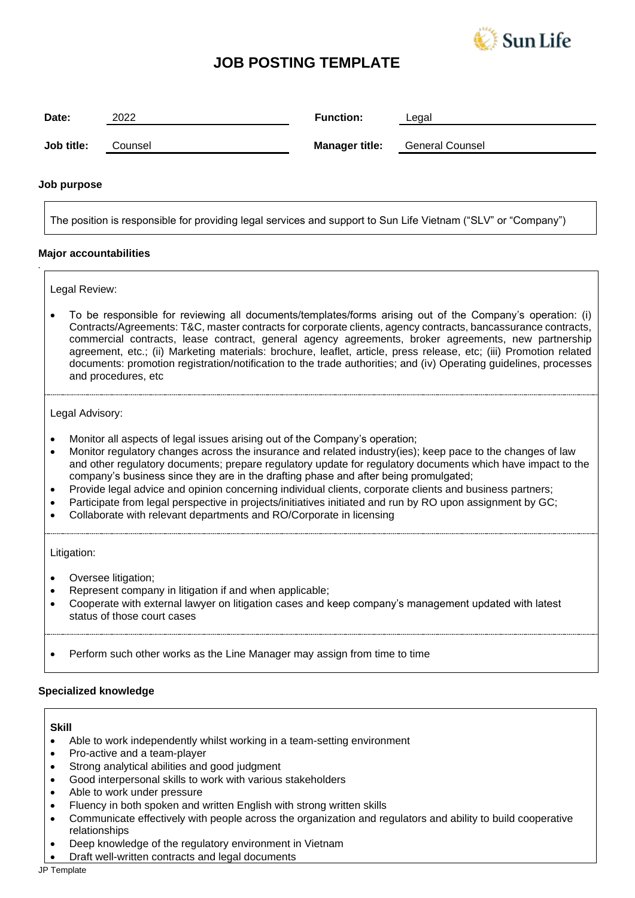

## **JOB POSTING TEMPLATE**

| Date:                                               | 2022                                                                                                                                                                                                                                                                                                                                                                                                                                                                                                                                                                                                | <b>Function:</b>      | Legal                                                                                                       |
|-----------------------------------------------------|-----------------------------------------------------------------------------------------------------------------------------------------------------------------------------------------------------------------------------------------------------------------------------------------------------------------------------------------------------------------------------------------------------------------------------------------------------------------------------------------------------------------------------------------------------------------------------------------------------|-----------------------|-------------------------------------------------------------------------------------------------------------|
| Job title:                                          | Counsel                                                                                                                                                                                                                                                                                                                                                                                                                                                                                                                                                                                             | <b>Manager title:</b> | <b>General Counsel</b>                                                                                      |
| Job purpose                                         |                                                                                                                                                                                                                                                                                                                                                                                                                                                                                                                                                                                                     |                       |                                                                                                             |
|                                                     | The position is responsible for providing legal services and support to Sun Life Vietnam ("SLV" or "Company")                                                                                                                                                                                                                                                                                                                                                                                                                                                                                       |                       |                                                                                                             |
|                                                     | <b>Major accountabilities</b>                                                                                                                                                                                                                                                                                                                                                                                                                                                                                                                                                                       |                       |                                                                                                             |
|                                                     | Legal Review:                                                                                                                                                                                                                                                                                                                                                                                                                                                                                                                                                                                       |                       |                                                                                                             |
|                                                     | To be responsible for reviewing all documents/templates/forms arising out of the Company's operation: (i)<br>Contracts/Agreements: T&C, master contracts for corporate clients, agency contracts, bancassurance contracts,<br>commercial contracts, lease contract, general agency agreements, broker agreements, new partnership<br>agreement, etc.; (ii) Marketing materials: brochure, leaflet, article, press release, etc; (iii) Promotion related<br>documents: promotion registration/notification to the trade authorities; and (iv) Operating guidelines, processes<br>and procedures, etc |                       |                                                                                                             |
|                                                     | Legal Advisory:                                                                                                                                                                                                                                                                                                                                                                                                                                                                                                                                                                                     |                       |                                                                                                             |
|                                                     | Monitor all aspects of legal issues arising out of the Company's operation;<br>Monitor regulatory changes across the insurance and related industry(ies); keep pace to the changes of law<br>company's business since they are in the drafting phase and after being promulgated;<br>Provide legal advice and opinion concerning individual clients, corporate clients and business partners;<br>Participate from legal perspective in projects/initiatives initiated and run by RO upon assignment by GC;<br>Collaborate with relevant departments and RO/Corporate in licensing                   |                       | and other regulatory documents; prepare regulatory update for regulatory documents which have impact to the |
| Litigation:                                         |                                                                                                                                                                                                                                                                                                                                                                                                                                                                                                                                                                                                     |                       |                                                                                                             |
|                                                     | Oversee litigation;<br>Represent company in litigation if and when applicable;<br>Cooperate with external lawyer on litigation cases and keep company's management updated with latest<br>status of those court cases                                                                                                                                                                                                                                                                                                                                                                               |                       |                                                                                                             |
|                                                     | Perform such other works as the Line Manager may assign from time to time                                                                                                                                                                                                                                                                                                                                                                                                                                                                                                                           |                       |                                                                                                             |
|                                                     | <b>Specialized knowledge</b>                                                                                                                                                                                                                                                                                                                                                                                                                                                                                                                                                                        |                       |                                                                                                             |
| <b>Skill</b><br>$\bullet$<br>$\bullet$<br>$\bullet$ | Able to work independently whilst working in a team-setting environment<br>Pro-active and a team-player<br>Strong analytical abilities and good judgment<br>Good interpersonal skills to work with various stakeholders<br>Able to work under pressure<br>Fluency in both spoken and written English with strong written skills<br>Communicate effectively with people across the organization and regulators and ability to build cooperative<br>relationships                                                                                                                                     |                       |                                                                                                             |

- Deep knowledge of the regulatory environment in Vietnam
- Draft well-written contracts and legal documents